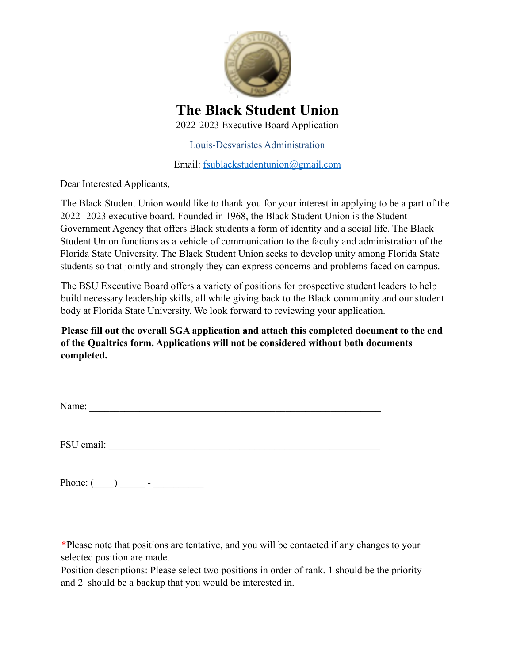

**The Black Student Union** 2022-2023 Executive Board Application

Louis-Desvaristes Administration

Email: fsublackstudentunion@gmail.com

Dear Interested Applicants,

The Black Student Union would like to thank you for your interest in applying to be a part of the 2022- 2023 executive board. Founded in 1968, the Black Student Union is the Student Government Agency that offers Black students a form of identity and a social life. The Black Student Union functions as a vehicle of communication to the faculty and administration of the Florida State University. The Black Student Union seeks to develop unity among Florida State students so that jointly and strongly they can express concerns and problems faced on campus.

The BSU Executive Board offers a variety of positions for prospective student leaders to help build necessary leadership skills, all while giving back to the Black community and our student body at Florida State University. We look forward to reviewing your application.

**Please fill out the overall SGA application and attach this completed document to the end of the Qualtrics form. Applications will not be considered without both documents completed.**

| Name: |  |  |  |
|-------|--|--|--|
|       |  |  |  |

FSU email:

Phone:  $($   $)$   $-$ 

\*Please note that positions are tentative, and you will be contacted if any changes to your selected position are made.

Position descriptions: Please select two positions in order of rank. 1 should be the priority and 2 should be a backup that you would be interested in.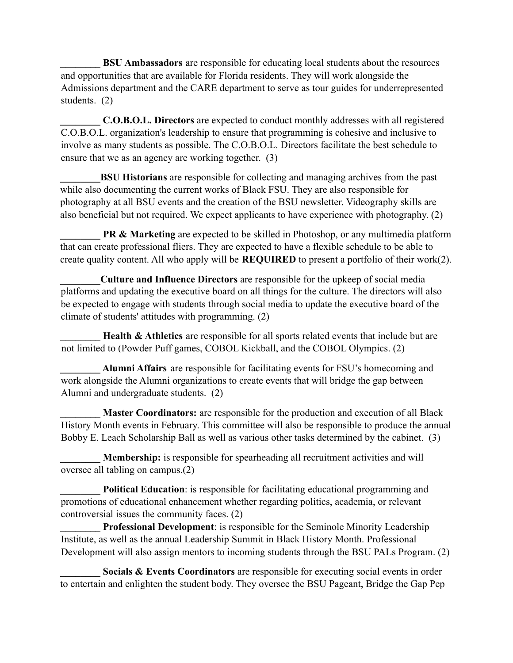**BSU Ambassadors** are responsible for educating local students about the resources and opportunities that are available for Florida residents. They will work alongside the Admissions department and the CARE department to serve as tour guides for underrepresented students. (2)

**\_\_\_\_\_\_\_\_ C.O.B.O.L. Directors** are expected to conduct monthly addresses with all registered C.O.B.O.L. organization's leadership to ensure that programming is cohesive and inclusive to involve as many students as possible. The C.O.B.O.L. Directors facilitate the best schedule to ensure that we as an agency are working together. (3)

**BSU Historians** are responsible for collecting and managing archives from the past while also documenting the current works of Black FSU. They are also responsible for photography at all BSU events and the creation of the BSU newsletter. Videography skills are also beneficial but not required. We expect applicants to have experience with photography. (2)

**PR & Marketing** are expected to be skilled in Photoshop, or any multimedia platform that can create professional fliers. They are expected to have a flexible schedule to be able to create quality content. All who apply will be **REQUIRED** to present a portfolio of their work(2).

**\_\_\_\_\_\_\_\_Culture and Influence Directors** are responsible for the upkeep of social media platforms and updating the executive board on all things for the culture. The directors will also be expected to engage with students through social media to update the executive board of the climate of students' attitudes with programming. (2)

**Health & Athletics** are responsible for all sports related events that include but are not limited to (Powder Puff games, COBOL Kickball, and the COBOL Olympics. (2)

**\_\_\_\_\_\_\_\_ Alumni Affairs** are responsible for facilitating events for FSU's homecoming and work alongside the Alumni organizations to create events that will bridge the gap between Alumni and undergraduate students. (2)

**Master Coordinators:** are responsible for the production and execution of all Black History Month events in February. This committee will also be responsible to produce the annual Bobby E. Leach Scholarship Ball as well as various other tasks determined by the cabinet. (3)

**\_\_\_\_\_\_\_\_ Membership:** is responsible for spearheading all recruitment activities and will oversee all tabling on campus.(2)

**Political Education**: is responsible for facilitating educational programming and promotions of educational enhancement whether regarding politics, academia, or relevant controversial issues the community faces. (2)

**Professional Development**: is responsible for the Seminole Minority Leadership Institute, as well as the annual Leadership Summit in Black History Month. Professional Development will also assign mentors to incoming students through the BSU PALs Program. (2)

**Socials & Events Coordinators** are responsible for executing social events in order to entertain and enlighten the student body. They oversee the BSU Pageant, Bridge the Gap Pep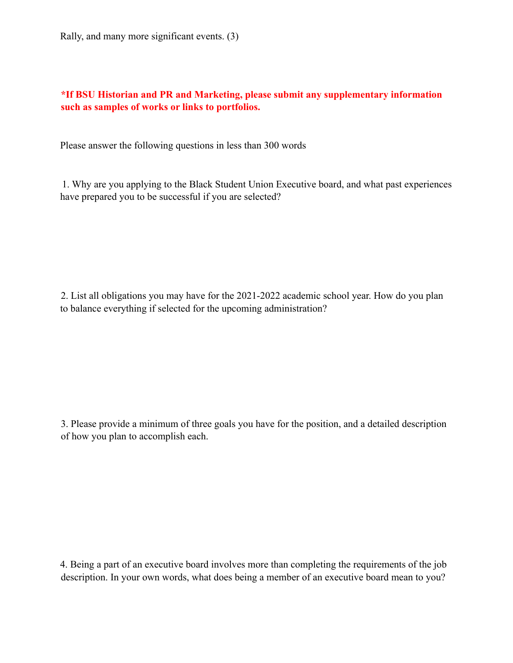Rally, and many more significant events. (3)

## **\*If BSU Historian and PR and Marketing, please submit any supplementary information such as samples of works or links to portfolios.**

Please answer the following questions in less than 300 words

1. Why are you applying to the Black Student Union Executive board, and what past experiences have prepared you to be successful if you are selected?

2. List all obligations you may have for the 2021-2022 academic school year. How do you plan to balance everything if selected for the upcoming administration?

3. Please provide a minimum of three goals you have for the position, and a detailed description of how you plan to accomplish each.

4. Being a part of an executive board involves more than completing the requirements of the job description. In your own words, what does being a member of an executive board mean to you?